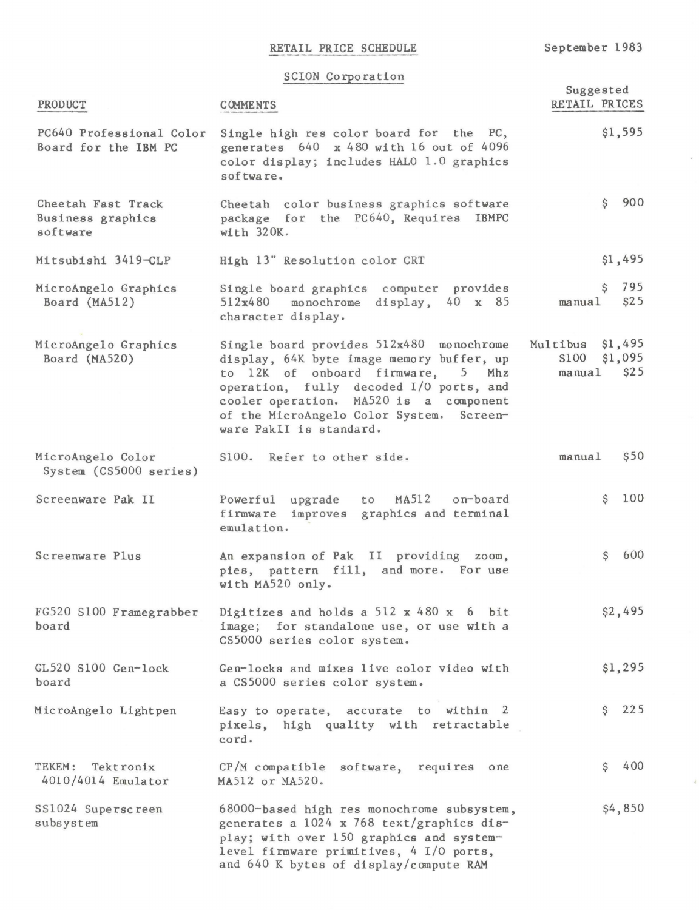## RETAIL PRICE SCHEDULE

 $\lambda$ 

## SCION Corporation

| PRODUCT                                             | <b>COMMENTS</b>                                                                                                                                                                                                                                                                        | Suggested<br>RETAIL PRICES                            |
|-----------------------------------------------------|----------------------------------------------------------------------------------------------------------------------------------------------------------------------------------------------------------------------------------------------------------------------------------------|-------------------------------------------------------|
| PC640 Professional Color<br>Board for the IBM PC    | Single high res color board for the PC,<br>generates $640 \times 480$ with 16 out of 4096<br>color display; includes HALO 1.0 graphics<br>software.                                                                                                                                    | \$1,595                                               |
| Cheetah Fast Track<br>Business graphics<br>software | Cheetah color business graphics software<br>package for the PC640, Requires IBMPC<br>with 320K.                                                                                                                                                                                        | 900<br>\$                                             |
| Mitsubishi 3419-CLP                                 | High 13" Resolution color CRT                                                                                                                                                                                                                                                          | \$1,495                                               |
| MicroAngelo Graphics<br>Board (MA512)               | Single board graphics computer provides<br>monochrome display, 40 x 85<br>512x480<br>character display.                                                                                                                                                                                | 795<br>\$<br>\$25<br>manual                           |
| MicroAngelo Graphics<br>Board (MA520)               | Single board provides 512x480 monochrome<br>display, 64K byte image memory buffer, up<br>to 12K of onboard firmware, 5 Mhz<br>operation, fully decoded I/O ports, and<br>cooler operation. MA520 is a component<br>of the MicroAngelo Color System. Screen-<br>ware PakII is standard. | Multibus \$1,495<br>S100<br>\$1,095<br>\$25<br>manual |
| MicroAngelo Color<br>System (CS5000 series)         | S100. Refer to other side.                                                                                                                                                                                                                                                             | \$50<br>manual                                        |
| Screenware Pak II                                   | MA512 on-board<br>Powerful upgrade<br>to<br>improves<br>graphics and terminal<br>firmware<br>emulation.                                                                                                                                                                                | 100<br>S                                              |
| Screenware Plus                                     | An expansion of Pak II providing zoom,<br>pies, pattern fill, and more. For use<br>with MA520 only.                                                                                                                                                                                    | 600<br>S                                              |
| FG520 S100 Framegrabber<br>board                    | Digitizes and holds a 512 $x$ 480 $x$ 6 bit<br>image; for standalone use, or use with a<br>CS5000 series color system.                                                                                                                                                                 | \$2,495                                               |
| GL520 S100 Gen-lock<br>board                        | Gen-locks and mixes live color video with<br>a CS5000 series color system.                                                                                                                                                                                                             | \$1,295                                               |
| MicroAngelo Lightpen                                | Easy to operate, accurate to within 2<br>pixels, high quality with retractable<br>cord.                                                                                                                                                                                                | 225<br>$\mathsf{S}$                                   |
| TEKEM: Tektronix<br>4010/4014 Emulator              | CP/M compatible software, requires one<br>MA512 or MA520.                                                                                                                                                                                                                              | 400<br>$\mathsf{S}$                                   |
| SS1024 Superscreen<br>subsystem                     | 68000-based high res monochrome subsystem,<br>generates a 1024 x 768 text/graphics dis-<br>play; with over 150 graphics and system-<br>level firmware primitives, 4 I/O ports,<br>and 640 K bytes of display/compute RAM                                                               | \$4,850                                               |